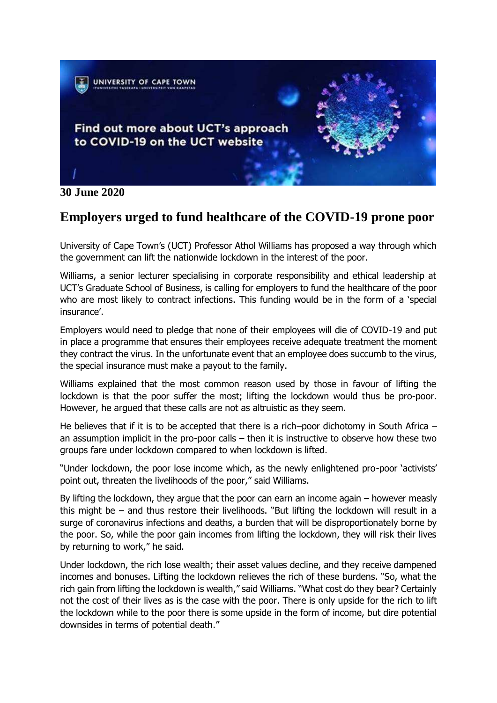

**30 June 2020**

## **Employers urged to fund healthcare of the COVID-19 prone poor**

University of Cape Town's (UCT) Professor Athol Williams has proposed a way through which the government can lift the nationwide lockdown in the interest of the poor.

Williams, a senior lecturer specialising in corporate responsibility and ethical leadership at UCT's Graduate School of Business, is calling for employers to fund the healthcare of the poor who are most likely to contract infections. This funding would be in the form of a 'special insurance'.

Employers would need to pledge that none of their employees will die of COVID-19 and put in place a programme that ensures their employees receive adequate treatment the moment they contract the virus. In the unfortunate event that an employee does succumb to the virus, the special insurance must make a payout to the family.

Williams explained that the most common reason used by those in favour of lifting the lockdown is that the poor suffer the most; lifting the lockdown would thus be pro-poor. However, he argued that these calls are not as altruistic as they seem.

He believes that if it is to be accepted that there is a rich–poor dichotomy in South Africa – an assumption implicit in the pro-poor calls – then it is instructive to observe how these two groups fare under lockdown compared to when lockdown is lifted.

"Under lockdown, the poor lose income which, as the newly enlightened pro-poor 'activists' point out, threaten the livelihoods of the poor," said Williams.

By lifting the lockdown, they argue that the poor can earn an income again – however measly this might be – and thus restore their livelihoods. "But lifting the lockdown will result in a surge of coronavirus infections and deaths, a burden that will be disproportionately borne by the poor. So, while the poor gain incomes from lifting the lockdown, they will risk their lives by returning to work," he said.

Under lockdown, the rich lose wealth; their asset values decline, and they receive dampened incomes and bonuses. Lifting the lockdown relieves the rich of these burdens. "So, what the rich gain from lifting the lockdown is wealth," said Williams. "What cost do they bear? Certainly not the cost of their lives as is the case with the poor. There is only upside for the rich to lift the lockdown while to the poor there is some upside in the form of income, but dire potential downsides in terms of potential death."